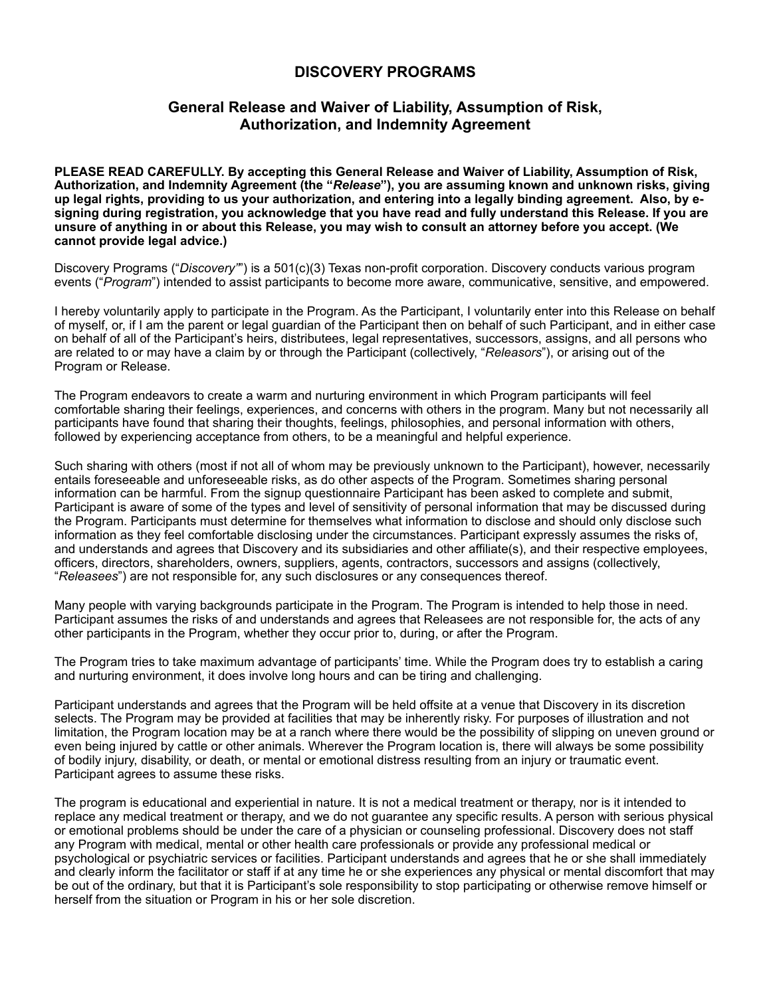## **DISCOVERY PROGRAMS**

## **General Release and Waiver of Liability, Assumption of Risk, Authorization, and Indemnity Agreement**

**PLEASE READ CAREFULLY. By accepting this General Release and Waiver of Liability, Assumption of Risk, Authorization, and Indemnity Agreement (the "***Release***"), you are assuming known and unknown risks, giving up legal rights, providing to us your authorization, and entering into a legally binding agreement. Also, by esigning during registration, you acknowledge that you have read and fully understand this Release. If you are unsure of anything in or about this Release, you may wish to consult an attorney before you accept. (We cannot provide legal advice.)**

Discovery Programs ("*Discovery"*") is a 501(c)(3) Texas non-profit corporation. Discovery conducts various program events ("*Program*") intended to assist participants to become more aware, communicative, sensitive, and empowered.

I hereby voluntarily apply to participate in the Program. As the Participant, I voluntarily enter into this Release on behalf of myself, or, if I am the parent or legal guardian of the Participant then on behalf of such Participant, and in either case on behalf of all of the Participant's heirs, distributees, legal representatives, successors, assigns, and all persons who are related to or may have a claim by or through the Participant (collectively, "*Releasors*"), or arising out of the Program or Release.

The Program endeavors to create a warm and nurturing environment in which Program participants will feel comfortable sharing their feelings, experiences, and concerns with others in the program. Many but not necessarily all participants have found that sharing their thoughts, feelings, philosophies, and personal information with others, followed by experiencing acceptance from others, to be a meaningful and helpful experience.

Such sharing with others (most if not all of whom may be previously unknown to the Participant), however, necessarily entails foreseeable and unforeseeable risks, as do other aspects of the Program. Sometimes sharing personal information can be harmful. From the signup questionnaire Participant has been asked to complete and submit, Participant is aware of some of the types and level of sensitivity of personal information that may be discussed during the Program. Participants must determine for themselves what information to disclose and should only disclose such information as they feel comfortable disclosing under the circumstances. Participant expressly assumes the risks of, and understands and agrees that Discovery and its subsidiaries and other affiliate(s), and their respective employees, officers, directors, shareholders, owners, suppliers, agents, contractors, successors and assigns (collectively, "*Releasees*") are not responsible for, any such disclosures or any consequences thereof.

Many people with varying backgrounds participate in the Program. The Program is intended to help those in need. Participant assumes the risks of and understands and agrees that Releasees are not responsible for, the acts of any other participants in the Program, whether they occur prior to, during, or after the Program.

The Program tries to take maximum advantage of participants' time. While the Program does try to establish a caring and nurturing environment, it does involve long hours and can be tiring and challenging.

Participant understands and agrees that the Program will be held offsite at a venue that Discovery in its discretion selects. The Program may be provided at facilities that may be inherently risky. For purposes of illustration and not limitation, the Program location may be at a ranch where there would be the possibility of slipping on uneven ground or even being injured by cattle or other animals. Wherever the Program location is, there will always be some possibility of bodily injury, disability, or death, or mental or emotional distress resulting from an injury or traumatic event. Participant agrees to assume these risks.

The program is educational and experiential in nature. It is not a medical treatment or therapy, nor is it intended to replace any medical treatment or therapy, and we do not guarantee any specific results. A person with serious physical or emotional problems should be under the care of a physician or counseling professional. Discovery does not staff any Program with medical, mental or other health care professionals or provide any professional medical or psychological or psychiatric services or facilities. Participant understands and agrees that he or she shall immediately and clearly inform the facilitator or staff if at any time he or she experiences any physical or mental discomfort that may be out of the ordinary, but that it is Participant's sole responsibility to stop participating or otherwise remove himself or herself from the situation or Program in his or her sole discretion.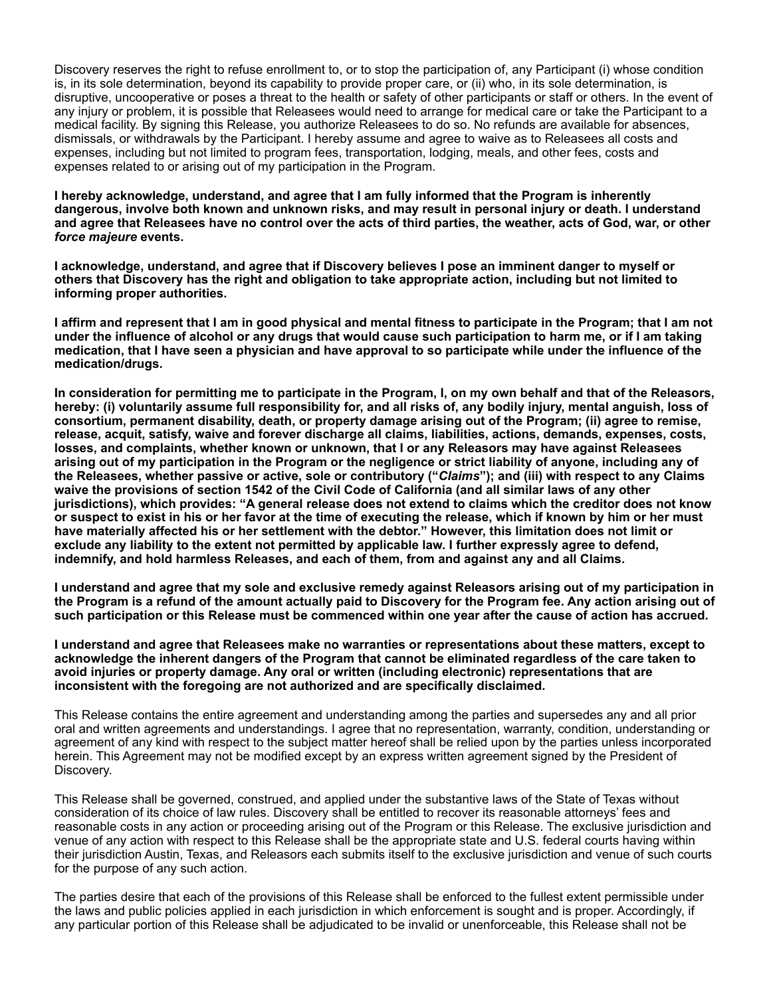Discovery reserves the right to refuse enrollment to, or to stop the participation of, any Participant (i) whose condition is, in its sole determination, beyond its capability to provide proper care, or (ii) who, in its sole determination, is disruptive, uncooperative or poses a threat to the health or safety of other participants or staff or others. In the event of any injury or problem, it is possible that Releasees would need to arrange for medical care or take the Participant to a medical facility. By signing this Release, you authorize Releasees to do so. No refunds are available for absences, dismissals, or withdrawals by the Participant. I hereby assume and agree to waive as to Releasees all costs and expenses, including but not limited to program fees, transportation, lodging, meals, and other fees, costs and expenses related to or arising out of my participation in the Program.

**I hereby acknowledge, understand, and agree that I am fully informed that the Program is inherently dangerous, involve both known and unknown risks, and may result in personal injury or death. I understand and agree that Releasees have no control over the acts of third parties, the weather, acts of God, war, or other**  *force majeure* **events.** 

**I acknowledge, understand, and agree that if Discovery believes I pose an imminent danger to myself or others that Discovery has the right and obligation to take appropriate action, including but not limited to informing proper authorities.** 

**I affirm and represent that I am in good physical and mental fitness to participate in the Program; that I am not under the influence of alcohol or any drugs that would cause such participation to harm me, or if I am taking medication, that I have seen a physician and have approval to so participate while under the influence of the medication/drugs.** 

**In consideration for permitting me to participate in the Program, I, on my own behalf and that of the Releasors, hereby: (i) voluntarily assume full responsibility for, and all risks of, any bodily injury, mental anguish, loss of consortium, permanent disability, death, or property damage arising out of the Program; (ii) agree to remise, release, acquit, satisfy, waive and forever discharge all claims, liabilities, actions, demands, expenses, costs, losses, and complaints, whether known or unknown, that I or any Releasors may have against Releasees arising out of my participation in the Program or the negligence or strict liability of anyone, including any of the Releasees, whether passive or active, sole or contributory ("***Claims***"); and (iii) with respect to any Claims waive the provisions of section 1542 of the Civil Code of California (and all similar laws of any other jurisdictions), which provides: "A general release does not extend to claims which the creditor does not know or suspect to exist in his or her favor at the time of executing the release, which if known by him or her must have materially affected his or her settlement with the debtor." However, this limitation does not limit or exclude any liability to the extent not permitted by applicable law. I further expressly agree to defend, indemnify, and hold harmless Releases, and each of them, from and against any and all Claims.** 

**I understand and agree that my sole and exclusive remedy against Releasors arising out of my participation in the Program is a refund of the amount actually paid to Discovery for the Program fee. Any action arising out of such participation or this Release must be commenced within one year after the cause of action has accrued.** 

**I understand and agree that Releasees make no warranties or representations about these matters, except to acknowledge the inherent dangers of the Program that cannot be eliminated regardless of the care taken to avoid injuries or property damage. Any oral or written (including electronic) representations that are inconsistent with the foregoing are not authorized and are specifically disclaimed.**

This Release contains the entire agreement and understanding among the parties and supersedes any and all prior oral and written agreements and understandings. I agree that no representation, warranty, condition, understanding or agreement of any kind with respect to the subject matter hereof shall be relied upon by the parties unless incorporated herein. This Agreement may not be modified except by an express written agreement signed by the President of Discovery.

This Release shall be governed, construed, and applied under the substantive laws of the State of Texas without consideration of its choice of law rules. Discovery shall be entitled to recover its reasonable attorneys' fees and reasonable costs in any action or proceeding arising out of the Program or this Release. The exclusive jurisdiction and venue of any action with respect to this Release shall be the appropriate state and U.S. federal courts having within their jurisdiction Austin, Texas, and Releasors each submits itself to the exclusive jurisdiction and venue of such courts for the purpose of any such action.

The parties desire that each of the provisions of this Release shall be enforced to the fullest extent permissible under the laws and public policies applied in each jurisdiction in which enforcement is sought and is proper. Accordingly, if any particular portion of this Release shall be adjudicated to be invalid or unenforceable, this Release shall not be